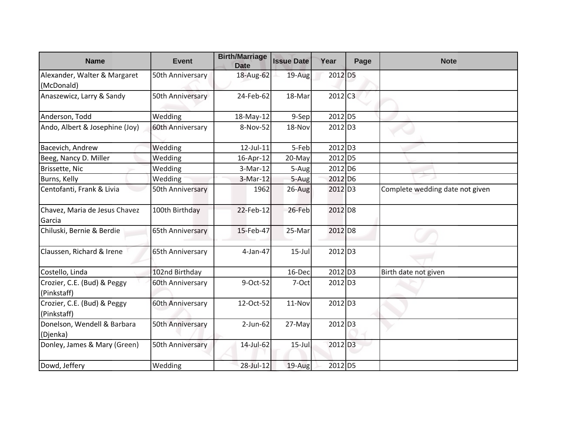| <b>Name</b>                                | Event            | <b>Birth/Marriage</b><br><b>Date</b> | <b>Issue Date</b> | Year                  | Page | <b>Note</b>                     |
|--------------------------------------------|------------------|--------------------------------------|-------------------|-----------------------|------|---------------------------------|
| Alexander, Walter & Margaret               | 50th Anniversary | 18-Aug-62                            | 19-Aug            | 2012 D5               |      |                                 |
| (McDonald)                                 |                  |                                      |                   |                       |      |                                 |
| Anaszewicz, Larry & Sandy                  | 50th Anniversary | 24-Feb-62                            | 18-Mar            | $2012$ C <sub>3</sub> |      |                                 |
| Anderson, Todd                             | Wedding          | 18-May-12                            | $9-$ Sep          | 2012 D5               |      |                                 |
| Ando, Albert & Josephine (Joy)             | 60th Anniversary | 8-Nov-52                             | 18-Nov            | $2012$ D <sub>3</sub> |      |                                 |
| Bacevich, Andrew                           | Wedding          | 12-Jul-11                            | 5-Feb             | $2012$ D <sub>3</sub> |      |                                 |
| Beeg, Nancy D. Miller                      | Wedding          | 16-Apr-12                            | 20-May            | 2012 D5               |      |                                 |
| Brissette, Nic                             | Wedding          | 3-Mar-12                             | 5-Aug             | 2012 D6               |      |                                 |
| Burns, Kelly                               | Wedding          | $3-Mar-12$                           | 5-Aug             | 2012 D <sub>6</sub>   |      |                                 |
| Centofanti, Frank & Livia                  | 50th Anniversary | 1962                                 | $26$ -Aug         | 2012 D3               |      | Complete wedding date not given |
| Chavez, Maria de Jesus Chavez<br>Garcia    | 100th Birthday   | 22-Feb-12                            | 26-Feb            | $2012$ D <sub>8</sub> |      |                                 |
| Chiluski, Bernie & Berdie                  | 65th Anniversary | 15-Feb-47                            | 25-Mar            | 2012 D8               |      |                                 |
| Claussen, Richard & Irene                  | 65th Anniversary | 4-Jan-47                             | $15$ -Jul         | $2012$ D3             |      |                                 |
| Costello, Linda                            | 102nd Birthday   |                                      | 16-Dec            | $2012$ D <sub>3</sub> |      | Birth date not given            |
| Crozier, C.E. (Bud) & Peggy<br>(Pinkstaff) | 60th Anniversary | 9-Oct-52                             | 7-Oct             | $2012$ D <sub>3</sub> |      |                                 |
| Crozier, C.E. (Bud) & Peggy<br>(Pinkstaff) | 60th Anniversary | 12-Oct-52                            | 11-Nov            | $2012$ D <sub>3</sub> |      |                                 |
| Donelson, Wendell & Barbara<br>(Djenka)    | 50th Anniversary | $2$ -Jun-62                          | 27-May            | 2012 D3               |      |                                 |
| Donley, James & Mary (Green)               | 50th Anniversary | 14-Jul-62                            | $15$ -Jul         | $2012$ D <sub>3</sub> |      |                                 |
| Dowd, Jeffery                              | Wedding          | 28-Jul-12                            | 19-Aug            | 2012 D5               |      |                                 |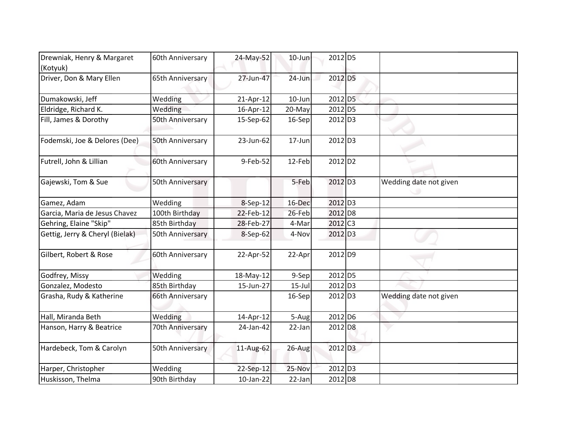| Drewniak, Henry & Margaret<br>(Kotyuk) | 60th Anniversary | 24-May-52 | $10$ -Jun | 2012 D5               |                        |
|----------------------------------------|------------------|-----------|-----------|-----------------------|------------------------|
| Driver, Don & Mary Ellen               | 65th Anniversary | 27-Jun-47 | $24$ -Jun | 2012 D5               |                        |
| Dumakowski, Jeff                       | Wedding          | 21-Apr-12 | 10-Jun    | 2012 D5               |                        |
| Eldridge, Richard K.                   | Wedding          | 16-Apr-12 | 20-May    | 2012 D5               |                        |
| Fill, James & Dorothy                  | 50th Anniversary | 15-Sep-62 | 16-Sep    | 2012 D3               |                        |
| Fodemski, Joe & Delores (Dee)          | 50th Anniversary | 23-Jun-62 | 17-Jun    | 2012 D3               |                        |
| Futrell, John & Lillian                | 60th Anniversary | 9-Feb-52  | $12$ -Feb | $2012$ D <sub>2</sub> |                        |
| Gajewski, Tom & Sue                    | 50th Anniversary |           | 5-Feb     | 2012 D <sub>3</sub>   | Wedding date not given |
| Gamez, Adam                            | Wedding          | 8-Sep-12  | 16-Dec    | 2012 D3               |                        |
| Garcia, Maria de Jesus Chavez          | 100th Birthday   | 22-Feb-12 | 26-Feb    | 2012 D8               |                        |
| Gehring, Elaine "Skip"                 | 85th Birthday    | 28-Feb-27 | 4-Mar     | 2012 C <sub>3</sub>   |                        |
| Gettig, Jerry & Cheryl (Bielak)        | 50th Anniversary | 8-Sep-62  | 4-Nov     | 2012 D3               |                        |
| Gilbert, Robert & Rose                 | 60th Anniversary | 22-Apr-52 | 22-Apr    | $2012$ D <sub>9</sub> |                        |
| Godfrey, Missy                         | Wedding          | 18-May-12 | 9-Sep     | 2012 D5               |                        |
| Gonzalez, Modesto                      | 85th Birthday    | 15-Jun-27 | $15$ -Jul | 2012 D3               |                        |
| Grasha, Rudy & Katherine               | 66th Anniversary |           | 16-Sep    | 2012 D3               | Wedding date not given |
| Hall, Miranda Beth                     | Wedding          | 14-Apr-12 | 5-Aug     | 2012 D6               |                        |
| Hanson, Harry & Beatrice               | 70th Anniversary | 24-Jan-42 | 22-Jan    | 2012 D8               |                        |
| Hardebeck, Tom & Carolyn               | 50th Anniversary | 11-Aug-62 | 26-Aug    | $2012$ D <sub>3</sub> |                        |
| Harper, Christopher                    | Wedding          | 22-Sep-12 | 25-Nov    | 2012 D3               |                        |
| Huskisson, Thelma                      | 90th Birthday    | 10-Jan-22 | 22-Jan    | 2012 D8               |                        |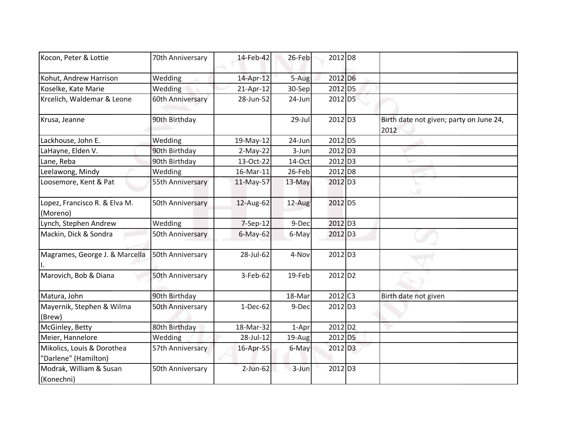| Kocon, Peter & Lottie                              | 70th Anniversary | 14-Feb-42   | 26-Feb    | 2012 D8               |                                                 |
|----------------------------------------------------|------------------|-------------|-----------|-----------------------|-------------------------------------------------|
| Kohut, Andrew Harrison                             | Wedding          | 14-Apr-12   | 5-Aug     | 2012 D6               |                                                 |
| Koselke, Kate Marie                                | Wedding          | 21-Apr-12   | 30-Sep    | 2012 D5               |                                                 |
| Krcelich, Waldemar & Leone                         | 60th Anniversary | 28-Jun-52   | 24-Jun    | 2012 D5               |                                                 |
| Krusa, Jeanne                                      | 90th Birthday    |             | 29-Jul    | 2012 D3               | Birth date not given; party on June 24,<br>2012 |
| Lackhouse, John E.                                 | Wedding          | 19-May-12   | 24-Jun    | 2012 D5               |                                                 |
| LaHayne, Elden V.                                  | 90th Birthday    | $2-May-22$  | 3-Jun     | $2012$ D <sub>3</sub> |                                                 |
| Lane, Reba                                         | 90th Birthday    | 13-Oct-22   | 14-Oct    | 2012 D3               |                                                 |
| Leelawong, Mindy                                   | Wedding          | 16-Mar-11   | 26-Feb    | 2012 D8               |                                                 |
| Loosemore, Kent & Pat                              | 55th Anniversary | 11-May-57   | 13-May    | 2012 D <sub>3</sub>   |                                                 |
| Lopez, Francisco R. & Elva M.<br>(Moreno)          | 50th Anniversary | 12-Aug-62   | 12-Aug    | 2012 D5               |                                                 |
| Lynch, Stephen Andrew                              | Wedding          | 7-Sep-12    | 9-Dec     | 2012 D <sub>3</sub>   |                                                 |
| Mackin, Dick & Sondra                              | 50th Anniversary | $6$ -May-62 | 6-May     | 2012 D3               |                                                 |
| Magrames, George J. & Marcella                     | 50th Anniversary | 28-Jul-62   | 4-Nov     | 2012 D3               |                                                 |
| Marovich, Bob & Diana                              | 50th Anniversary | 3-Feb-62    | $19$ -Feb | $2012$ D <sub>2</sub> |                                                 |
| Matura, John                                       | 90th Birthday    |             | 18-Mar    | $2012$ C <sub>3</sub> | Birth date not given                            |
| Mayernik, Stephen & Wilma<br>(Brew)                | 50th Anniversary | $1-Dec-62$  | 9-Dec     | 2012 D3               |                                                 |
| McGinley, Betty                                    | 80th Birthday    | 18-Mar-32   | 1-Apr     | 2012 D <sub>2</sub>   |                                                 |
| Meier, Hannelore                                   | Wedding          | 28-Jul-12   | 19-Aug    | 2012 D5               |                                                 |
| Mikolics, Louis & Dorothea<br>"Darlene" (Hamilton) | 57th Anniversary | 16-Apr-55   | 6-May     | 2012 D <sub>3</sub>   |                                                 |
| Modrak, William & Susan<br>(Konechni)              | 50th Anniversary | $2$ -Jun-62 | 3-Jun     | 2012 D3               |                                                 |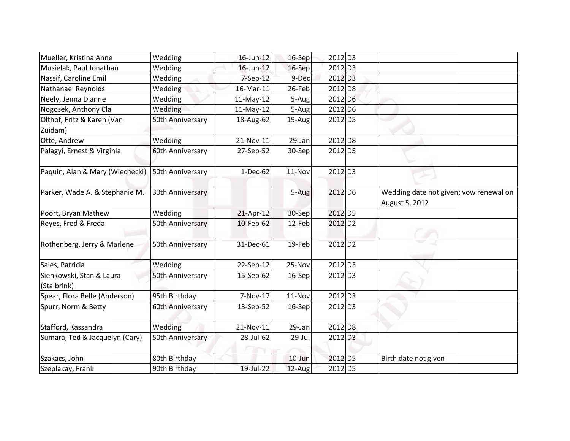| Mueller, Kristina Anne                  | Wedding          | 16-Jun-12 | $16-Sep$  | 2012 D <sub>3</sub>   |                                                          |
|-----------------------------------------|------------------|-----------|-----------|-----------------------|----------------------------------------------------------|
| Musielak, Paul Jonathan                 | Wedding          | 16-Jun-12 | 16-Sep    | 2012 D3               |                                                          |
| Nassif, Caroline Emil                   | Wedding          | 7-Sep-12  | 9-Dec     | $2012$ D <sub>3</sub> |                                                          |
| Nathanael Reynolds                      | Wedding          | 16-Mar-11 | 26-Feb    | 2012 D8               |                                                          |
| Neely, Jenna Dianne                     | Wedding          | 11-May-12 | 5-Aug     | 2012 D <sub>6</sub>   |                                                          |
| Nogosek, Anthony Cla                    | Wedding          | 11-May-12 | 5-Aug     | 2012 D <sub>6</sub>   |                                                          |
| Olthof, Fritz & Karen (Van<br>Zuidam)   | 50th Anniversary | 18-Aug-62 | 19-Aug    | 2012 D5               |                                                          |
| Otte, Andrew                            | Wedding          | 21-Nov-11 | 29-Jan    | 2012 D8               |                                                          |
| Palagyi, Ernest & Virginia              | 60th Anniversary | 27-Sep-52 | 30-Sep    | 2012 D5               |                                                          |
| Paquin, Alan & Mary (Wiechecki)         | 50th Anniversary | 1-Dec-62  | 11-Nov    | 2012 D <sub>3</sub>   |                                                          |
| Parker, Wade A. & Stephanie M.          | 30th Anniversary |           | 5-Aug     | 2012 D6               | Wedding date not given; vow renewal on<br>August 5, 2012 |
| Poort, Bryan Mathew                     | Wedding          | 21-Apr-12 | 30-Sep    | 2012 D5               |                                                          |
| Reyes, Fred & Freda                     | 50th Anniversary | 10-Feb-62 | 12-Feb    | $2012$ D <sub>2</sub> |                                                          |
| Rothenberg, Jerry & Marlene             | 50th Anniversary | 31-Dec-61 | $19$ -Feb | 2012 D <sub>2</sub>   |                                                          |
| Sales, Patricia                         | Wedding          | 22-Sep-12 | 25-Nov    | 2012 D3               |                                                          |
| Sienkowski, Stan & Laura<br>(Stalbrink) | 50th Anniversary | 15-Sep-62 | 16-Sep    | $2012$ D <sub>3</sub> |                                                          |
| Spear, Flora Belle (Anderson)           | 95th Birthday    | 7-Nov-17  | 11-Nov    | 2012 D3               |                                                          |
| Spurr, Norm & Betty                     | 60th Anniversary | 13-Sep-52 | 16-Sep    | 2012 D3               |                                                          |
| Stafford, Kassandra                     | Wedding          | 21-Nov-11 | 29-Jan    | 2012 D8               |                                                          |
| Sumara, Ted & Jacquelyn (Cary)          | 50th Anniversary | 28-Jul-62 | 29-Jul    | 2012 D <sub>3</sub>   |                                                          |
| Szakacs, John                           | 80th Birthday    |           | $10$ -Jun | $2012$ D <sub>5</sub> | Birth date not given                                     |
| Szeplakay, Frank                        | 90th Birthday    | 19-Jul-22 | 12-Aug    | 2012 D5               |                                                          |